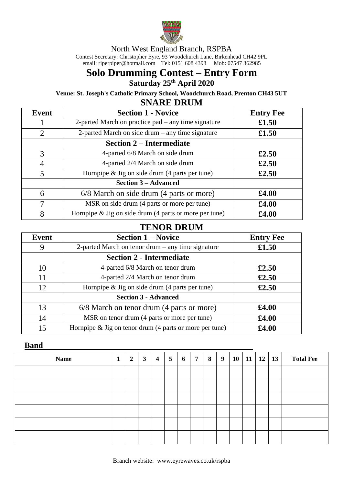

North West England Branch, RSPBA

Contest Secretary: Christopher Eyre, 93 Woodchurch Lane, Birkenhead CH42 9PL email[: riperpiper@hotmail.com](mailto:riperpiper@hotmail.com) Tel: 0151 608 4398 Mob: 07547 362985

# **Solo Drumming Contest – Entry Form Saturday 25 th April 2020**

**Venue: St. Joseph's Catholic Primary School, Woodchurch Road, Prenton CH43 5UT**

## **SNARE DRUM**

| Event          | <b>Section 1 - Novice</b>                                | <b>Entry Fee</b> |
|----------------|----------------------------------------------------------|------------------|
|                | 2-parted March on practice pad – any time signature      | £1.50            |
| $\overline{2}$ | 2-parted March on side drum – any time signature         | £1.50            |
|                | <b>Section 2 – Intermediate</b>                          |                  |
| 3              | 4-parted 6/8 March on side drum                          | £2.50            |
| 4              | 4-parted 2/4 March on side drum                          | £2.50            |
| 5              | Hornpipe $\&$ Jig on side drum (4 parts per tune)        | £2.50            |
|                | <b>Section 3 – Advanced</b>                              |                  |
| 6              | 6/8 March on side drum (4 parts or more)                 | £4.00            |
| 7              | MSR on side drum (4 parts or more per tune)              | \$4.00           |
| 8              | Hornpipe $&$ Jig on side drum (4 parts or more per tune) | £4.00            |

## **TENOR DRUM**

| Event | <b>Section 1 – Novice</b>                                  | <b>Entry Fee</b> |  |  |  |
|-------|------------------------------------------------------------|------------------|--|--|--|
| 9     | 2-parted March on tenor drum $-$ any time signature        | £1.50            |  |  |  |
|       | <b>Section 2 - Intermediate</b>                            |                  |  |  |  |
| 10    | 4-parted 6/8 March on tenor drum                           | £2.50            |  |  |  |
| 11    | 4-parted 2/4 March on tenor drum                           | £2.50            |  |  |  |
| 12    | Hornpipe $\&$ Jig on side drum (4 parts per tune)          | £2.50            |  |  |  |
|       | <b>Section 3 - Advanced</b>                                |                  |  |  |  |
| 13    | 6/8 March on tenor drum (4 parts or more)                  | £4.00            |  |  |  |
| 14    | MSR on tenor drum (4 parts or more per tune)               | £4.00            |  |  |  |
| 15    | Hornpipe $\&$ Jig on tenor drum (4 parts or more per tune) | £4.00            |  |  |  |

#### **Band**

| <b>Name</b> | 1 | $\overline{2}$ | $\mathbf{3}$ | $\boldsymbol{4}$ | $\overline{5}$ | 6 | $\overline{7}$ | 8 | 9 | 10 | 11 | 12 | <b>13</b> | <b>Total Fee</b> |
|-------------|---|----------------|--------------|------------------|----------------|---|----------------|---|---|----|----|----|-----------|------------------|
|             |   |                |              |                  |                |   |                |   |   |    |    |    |           |                  |
|             |   |                |              |                  |                |   |                |   |   |    |    |    |           |                  |
|             |   |                |              |                  |                |   |                |   |   |    |    |    |           |                  |
|             |   |                |              |                  |                |   |                |   |   |    |    |    |           |                  |
|             |   |                |              |                  |                |   |                |   |   |    |    |    |           |                  |
|             |   |                |              |                  |                |   |                |   |   |    |    |    |           |                  |